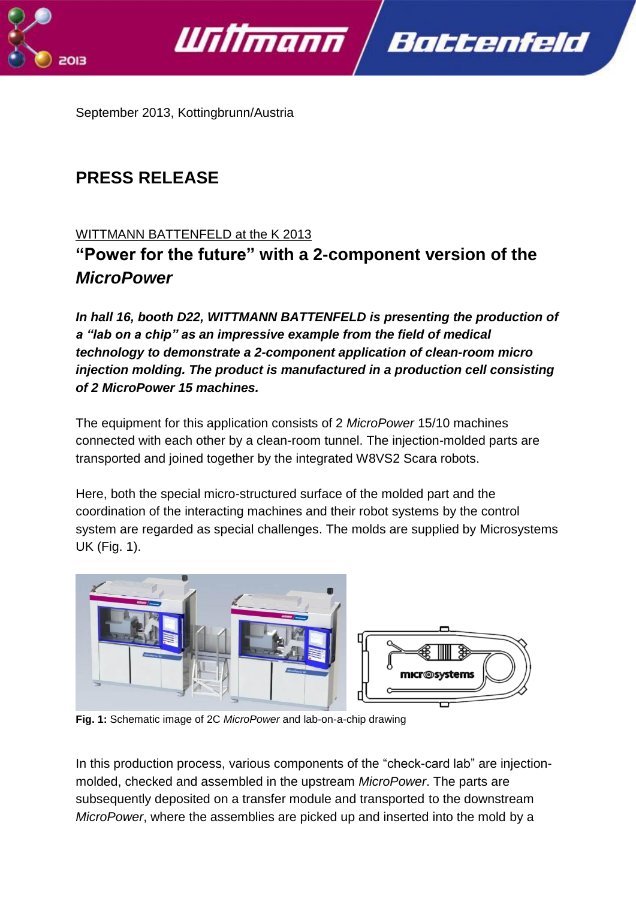



September 2013, Kottingbrunn/Austria

# **PRESS RELEASE**

## WITTMANN BATTENFELD at the K 2013

**"Power for the future" with a 2-component version of the** *MicroPower*

*In hall 16, booth D22, WITTMANN BATTENFELD is presenting the production of a "lab on a chip" as an impressive example from the field of medical technology to demonstrate a 2-component application of clean-room micro injection molding. The product is manufactured in a production cell consisting of 2 MicroPower 15 machines.*

The equipment for this application consists of 2 *MicroPower* 15/10 machines connected with each other by a clean-room tunnel. The injection-molded parts are transported and joined together by the integrated W8VS2 Scara robots.

Here, both the special micro-structured surface of the molded part and the coordination of the interacting machines and their robot systems by the control system are regarded as special challenges. The molds are supplied by Microsystems UK (Fig. 1).



**Fig. 1:** Schematic image of 2C *MicroPower* and lab-on-a-chip drawing

In this production process, various components of the "check-card lab" are injectionmolded, checked and assembled in the upstream *MicroPower*. The parts are subsequently deposited on a transfer module and transported to the downstream *MicroPower*, where the assemblies are picked up and inserted into the mold by a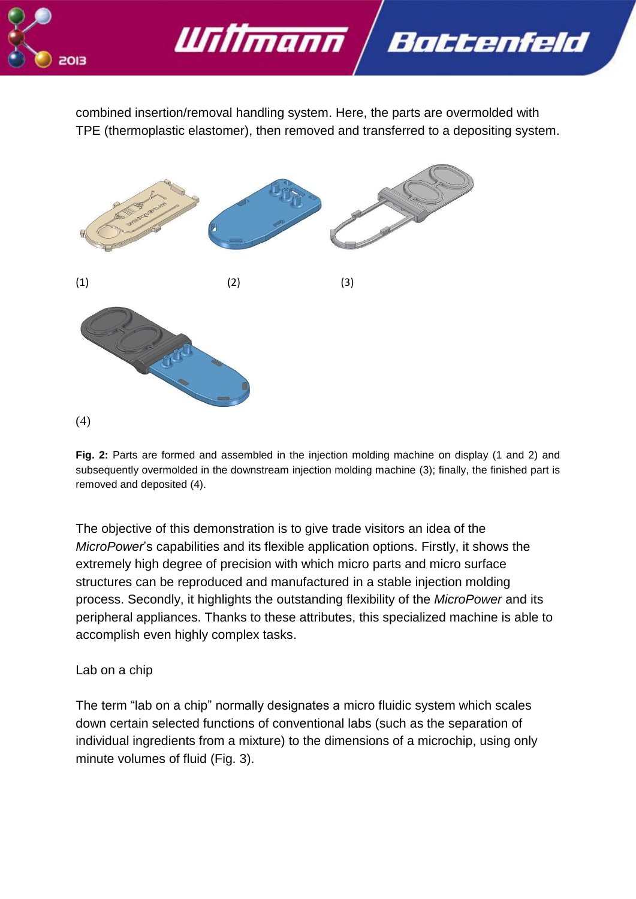

combined insertion/removal handling system. Here, the parts are overmolded with TPE (thermoplastic elastomer), then removed and transferred to a depositing system.

Battenfeld



Willmann

**Fig. 2:** Parts are formed and assembled in the injection molding machine on display (1 and 2) and subsequently overmolded in the downstream injection molding machine (3); finally, the finished part is removed and deposited (4).

The objective of this demonstration is to give trade visitors an idea of the *MicroPower*'s capabilities and its flexible application options. Firstly, it shows the extremely high degree of precision with which micro parts and micro surface structures can be reproduced and manufactured in a stable injection molding process. Secondly, it highlights the outstanding flexibility of the *MicroPower* and its peripheral appliances. Thanks to these attributes, this specialized machine is able to accomplish even highly complex tasks.

## Lab on a chip

The term "lab on a chip" normally designates a micro fluidic system which scales down certain selected functions of conventional labs (such as the separation of individual ingredients from a mixture) to the dimensions of a microchip, using only minute volumes of fluid (Fig. 3).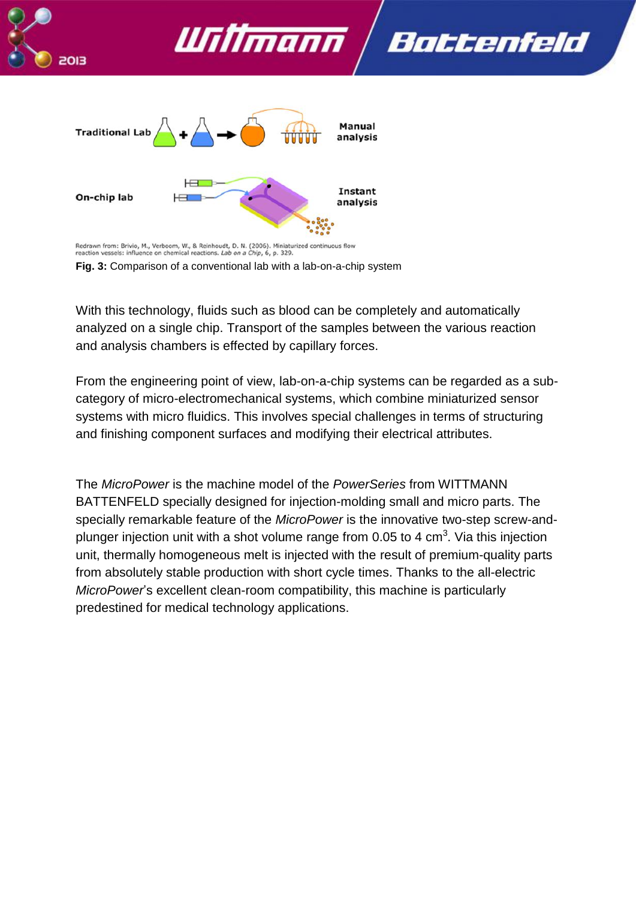

With this technology, fluids such as blood can be completely and automatically analyzed on a single chip. Transport of the samples between the various reaction and analysis chambers is effected by capillary forces.

From the engineering point of view, lab-on-a-chip systems can be regarded as a subcategory of micro-electromechanical systems, which combine miniaturized sensor systems with micro fluidics. This involves special challenges in terms of structuring and finishing component surfaces and modifying their electrical attributes.

The *MicroPower* is the machine model of the *PowerSeries* from WITTMANN BATTENFELD specially designed for injection-molding small and micro parts. The specially remarkable feature of the *MicroPower* is the innovative two-step screw-andplunger injection unit with a shot volume range from 0.05 to 4 cm<sup>3</sup>. Via this injection unit, thermally homogeneous melt is injected with the result of premium-quality parts from absolutely stable production with short cycle times. Thanks to the all-electric *MicroPower*'s excellent clean-room compatibility, this machine is particularly predestined for medical technology applications.